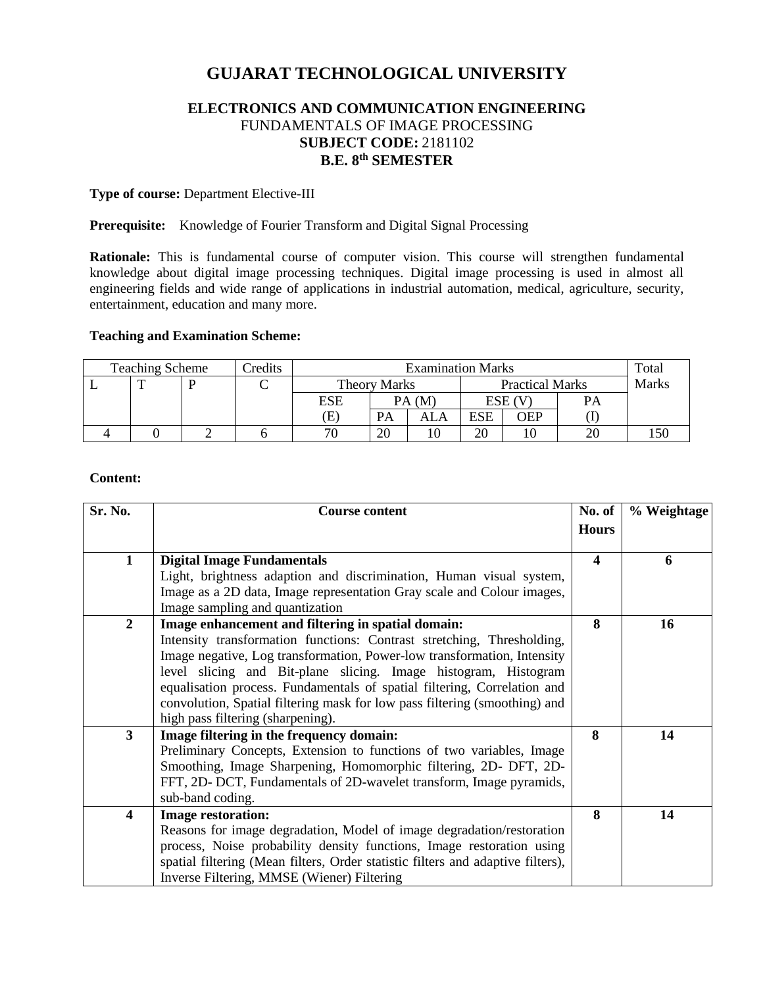# **GUJARAT TECHNOLOGICAL UNIVERSITY**

# **ELECTRONICS AND COMMUNICATION ENGINEERING** FUNDAMENTALS OF IMAGE PROCESSING **SUBJECT CODE:** 2181102 **B.E. 8 th SEMESTER**

## **Type of course:** Department Elective-III

#### **Prerequisite:** Knowledge of Fourier Transform and Digital Signal Processing

**Rationale:** This is fundamental course of computer vision. This course will strengthen fundamental knowledge about digital image processing techniques. Digital image processing is used in almost all engineering fields and wide range of applications in industrial automation, medical, agriculture, security, entertainment, education and many more.

# **Teaching and Examination Scheme:**

| Credits<br><b>Teaching Scheme</b> |  |  | <b>Examination Marks</b> |        |                        |            |     | Totai |  |
|-----------------------------------|--|--|--------------------------|--------|------------------------|------------|-----|-------|--|
|                                   |  |  | <b>Theory Marks</b>      |        | <b>Practical Marks</b> |            |     | Marks |  |
|                                   |  |  | ESE                      | PA (M) |                        | ESE        |     |       |  |
|                                   |  |  | Œ.                       | PA     | ALA                    | <b>ESE</b> | OEP |       |  |
|                                   |  |  | 70                       | 20     |                        | 20         |     |       |  |

#### **Content:**

| Sr. No.                 | <b>Course content</b>                                                           | No. of       | % Weightage |
|-------------------------|---------------------------------------------------------------------------------|--------------|-------------|
|                         |                                                                                 | <b>Hours</b> |             |
| $\mathbf{1}$            | <b>Digital Image Fundamentals</b>                                               | 4            | 6           |
|                         | Light, brightness adaption and discrimination, Human visual system,             |              |             |
|                         | Image as a 2D data, Image representation Gray scale and Colour images,          |              |             |
|                         | Image sampling and quantization                                                 |              |             |
| $\overline{2}$          | Image enhancement and filtering in spatial domain:                              | 8            | 16          |
|                         | Intensity transformation functions: Contrast stretching, Thresholding,          |              |             |
|                         | Image negative, Log transformation, Power-low transformation, Intensity         |              |             |
|                         | level slicing and Bit-plane slicing. Image histogram, Histogram                 |              |             |
|                         | equalisation process. Fundamentals of spatial filtering, Correlation and        |              |             |
|                         | convolution, Spatial filtering mask for low pass filtering (smoothing) and      |              |             |
|                         | high pass filtering (sharpening).                                               |              |             |
| $\mathbf{3}$            | Image filtering in the frequency domain:                                        | 8            | 14          |
|                         | Preliminary Concepts, Extension to functions of two variables, Image            |              |             |
|                         | Smoothing, Image Sharpening, Homomorphic filtering, 2D- DFT, 2D-                |              |             |
|                         | FFT, 2D- DCT, Fundamentals of 2D-wavelet transform, Image pyramids,             |              |             |
|                         | sub-band coding.                                                                |              |             |
| $\overline{\mathbf{4}}$ | <b>Image restoration:</b>                                                       | 8            | 14          |
|                         | Reasons for image degradation, Model of image degradation/restoration           |              |             |
|                         | process, Noise probability density functions, Image restoration using           |              |             |
|                         | spatial filtering (Mean filters, Order statistic filters and adaptive filters), |              |             |
|                         | Inverse Filtering, MMSE (Wiener) Filtering                                      |              |             |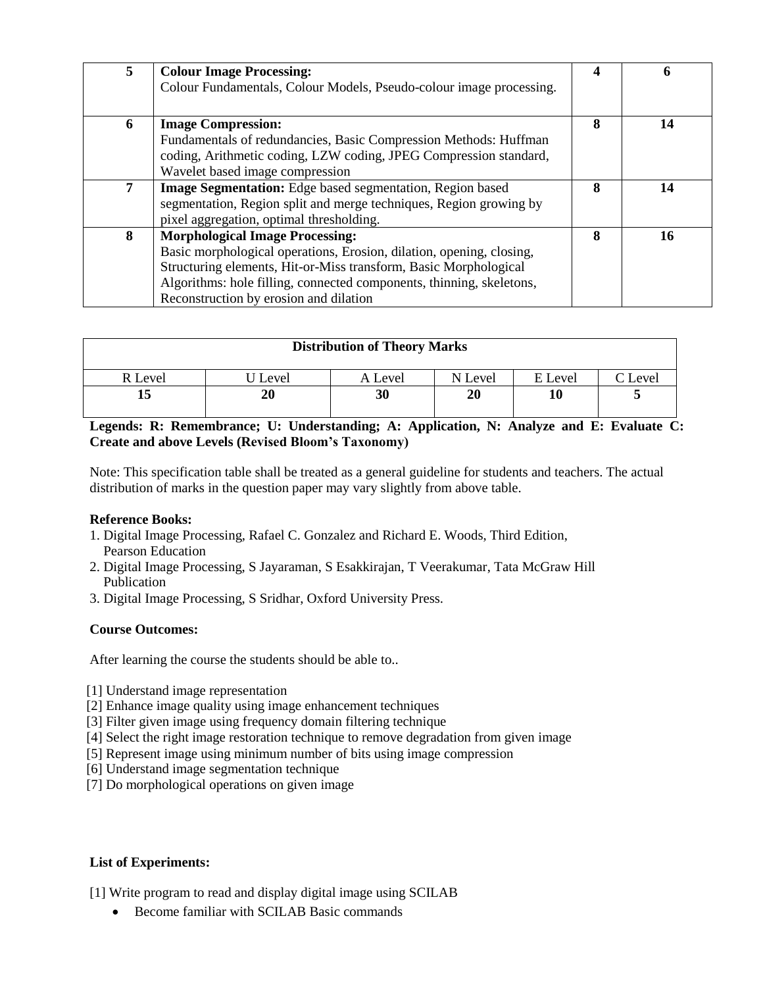| 5 | <b>Colour Image Processing:</b><br>Colour Fundamentals, Colour Models, Pseudo-colour image processing.                                                                                                                                                                                               |   | n  |
|---|------------------------------------------------------------------------------------------------------------------------------------------------------------------------------------------------------------------------------------------------------------------------------------------------------|---|----|
| 6 | <b>Image Compression:</b><br>Fundamentals of redundancies, Basic Compression Methods: Huffman<br>coding, Arithmetic coding, LZW coding, JPEG Compression standard,<br>Wavelet based image compression                                                                                                | 8 | 14 |
| 7 | <b>Image Segmentation:</b> Edge based segmentation, Region based<br>segmentation, Region split and merge techniques, Region growing by<br>pixel aggregation, optimal thresholding.                                                                                                                   | 8 | 14 |
| 8 | <b>Morphological Image Processing:</b><br>Basic morphological operations, Erosion, dilation, opening, closing,<br>Structuring elements, Hit-or-Miss transform, Basic Morphological<br>Algorithms: hole filling, connected components, thinning, skeletons,<br>Reconstruction by erosion and dilation | 8 | 16 |

| <b>Distribution of Theory Marks</b> |         |         |         |         |        |  |  |  |
|-------------------------------------|---------|---------|---------|---------|--------|--|--|--|
| R Level                             | J Level | A Level | N Level | E Level | 'Level |  |  |  |
|                                     | 20      | 30      | 20      | 10      |        |  |  |  |

**Legends: R: Remembrance; U: Understanding; A: Application, N: Analyze and E: Evaluate C: Create and above Levels (Revised Bloom's Taxonomy)**

Note: This specification table shall be treated as a general guideline for students and teachers. The actual distribution of marks in the question paper may vary slightly from above table.

#### **Reference Books:**

- 1. Digital Image Processing, Rafael C. Gonzalez and Richard E. Woods, Third Edition, Pearson Education
- 2. Digital Image Processing, S Jayaraman, S Esakkirajan, T Veerakumar, Tata McGraw Hill Publication
- 3. Digital Image Processing, S Sridhar, Oxford University Press.

#### **Course Outcomes:**

After learning the course the students should be able to..

- [1] Understand image representation
- [2] Enhance image quality using image enhancement techniques
- [3] Filter given image using frequency domain filtering technique
- [4] Select the right image restoration technique to remove degradation from given image
- [5] Represent image using minimum number of bits using image compression
- [6] Understand image segmentation technique
- [7] Do morphological operations on given image

### **List of Experiments:**

[1] Write program to read and display digital image using SCILAB

Become familiar with SCILAB Basic commands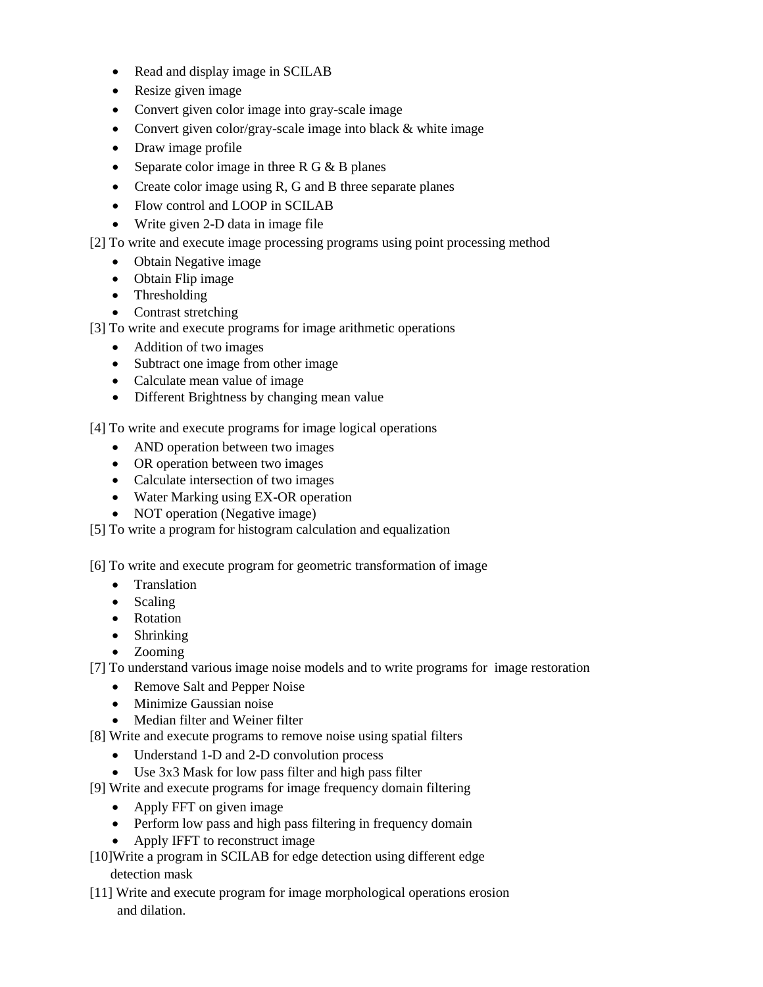- Read and display image in SCILAB
- Resize given image
- Convert given color image into gray-scale image
- Convert given color/gray-scale image into black & white image
- Draw image profile
- Separate color image in three R G  $&$  B planes
- Create color image using  $R$ ,  $G$  and  $B$  three separate planes
- Flow control and LOOP in SCILAB
- Write given 2-D data in image file
- [2] To write and execute image processing programs using point processing method
	- Obtain Negative image
	- Obtain Flip image
	- Thresholding
	- Contrast stretching
- [3] To write and execute programs for image arithmetic operations
	- Addition of two images
	- Subtract one image from other image
	- Calculate mean value of image
	- Different Brightness by changing mean value

[4] To write and execute programs for image logical operations

- AND operation between two images
- OR operation between two images
- Calculate intersection of two images
- Water Marking using EX-OR operation
- NOT operation (Negative image)
- [5] To write a program for histogram calculation and equalization

[6] To write and execute program for geometric transformation of image

- Translation
- Scaling
- Rotation
- Shrinking
- Zooming

[7] To understand various image noise models and to write programs for image restoration

- Remove Salt and Pepper Noise
- Minimize Gaussian noise
- Median filter and Weiner filter
- [8] Write and execute programs to remove noise using spatial filters
	- Understand 1-D and 2-D convolution process
	- Use 3x3 Mask for low pass filter and high pass filter
- [9] Write and execute programs for image frequency domain filtering
	- Apply FFT on given image
	- Perform low pass and high pass filtering in frequency domain
	- Apply IFFT to reconstruct image
- [10]Write a program in SCILAB for edge detection using different edge detection mask
- [11] Write and execute program for image morphological operations erosion and dilation.